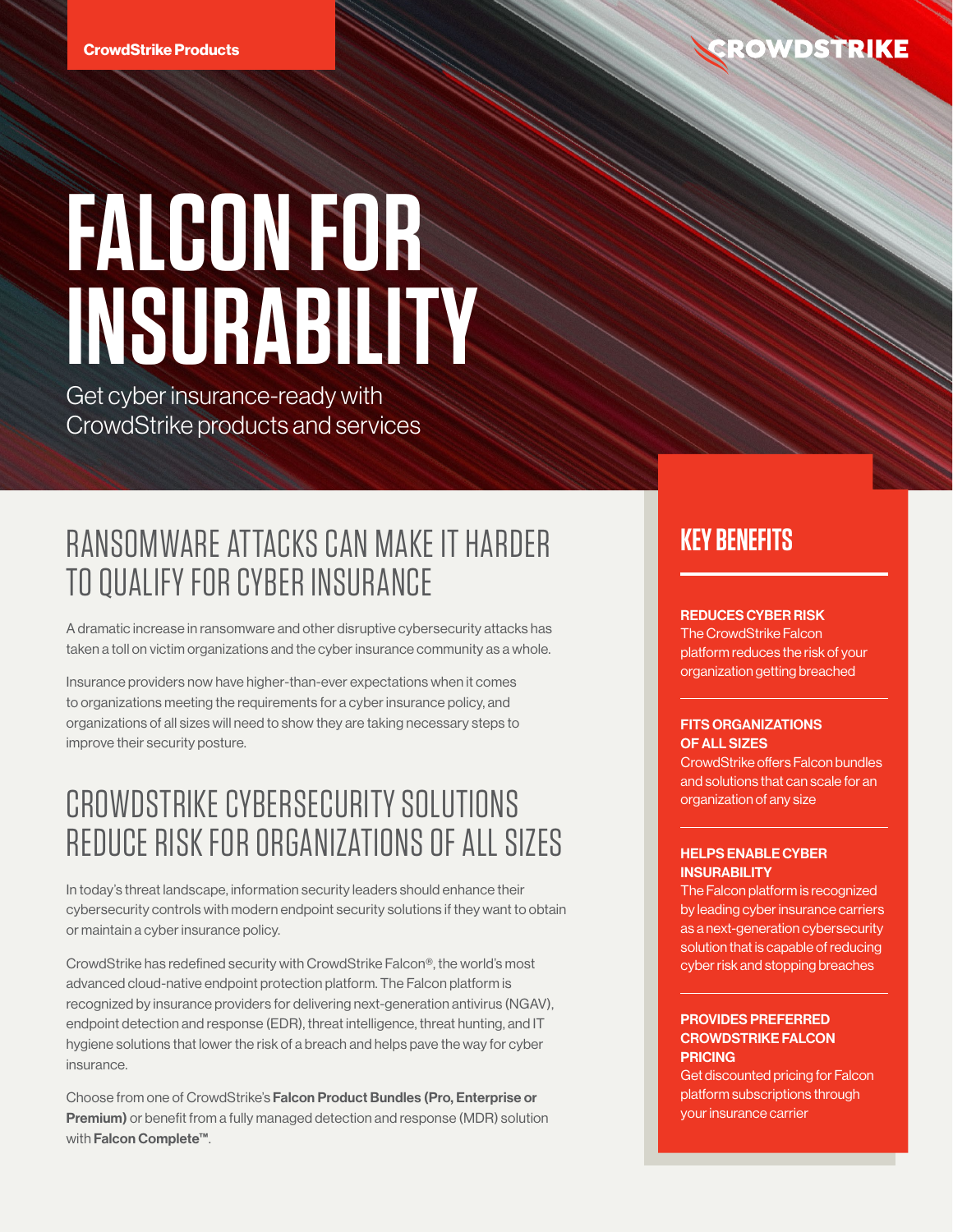# **FALCON FOR INSURABILITY**

Get cyber insurance-ready with CrowdStrike products and services

# RANSOMWARE ATTACKS CAN MAKE IT HARDER TO QUALIFY FOR CYBER INSURANCE

A dramatic increase in ransomware and other disruptive cybersecurity attacks has taken a toll on victim organizations and the cyber insurance community as a whole.

Insurance providers now have higher-than-ever expectations when it comes to organizations meeting the requirements for a cyber insurance policy, and organizations of all sizes will need to show they are taking necessary steps to improve their security posture.

## CROWDSTRIKE CYBERSECURITY SOLUTIONS REDUCE RISK FOR ORGANIZATIONS OF ALL SIZES

In today's threat landscape, information security leaders should enhance their cybersecurity controls with modern endpoint security solutions if they want to obtain or maintain a cyber insurance policy.

CrowdStrike has redefined security with CrowdStrike Falcon®, the world's most advanced cloud-native endpoint protection platform. The Falcon platform is recognized by insurance providers for delivering next-generation antivirus (NGAV), endpoint detection and response (EDR), threat intelligence, threat hunting, and IT hygiene solutions that lower the risk of a breach and helps pave the way for cyber insurance.

Choose from one of CrowdStrike's Falcon Product Bundles (Pro, Enterprise or Premium) or benefit from a fully managed detection and response (MDR) solution with Falcon Complete™.

### **KEY BENEFITS**

### REDUCES CYBER RISK

The CrowdStrike Falcon platform reduces the risk of your organization getting breached

#### FITS ORGANIZATIONS OF ALL SIZES

CrowdStrike offers Falcon bundles and solutions that can scale for an organization of any size

### HELPS ENABLE CYBER **INSURABILITY**

The Falcon platform is recognized by leading cyber insurance carriers as a next-generation cybersecurity solution that is capable of reducing cyber risk and stopping breaches

### PROVIDES PREFERRED CROWDSTRIKE FALCON **PRICING**

Get discounted pricing for Falcon platform subscriptions through your insurance carrier